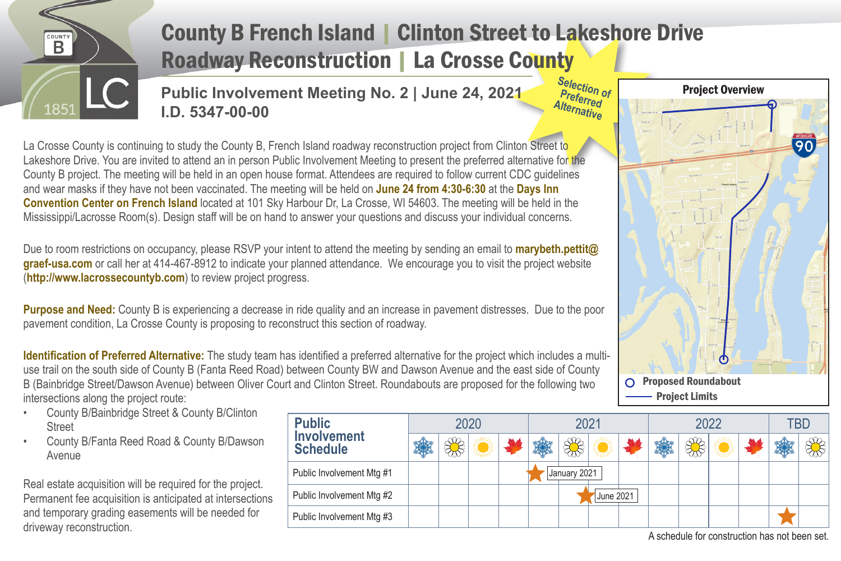

## County B French Island | Clinton Street to Lakeshore Drive Roadway Reconstruction | La Crosse County

**Public Involvement Meeting No. 2 | June 24, 2021 I.D. 5347-00-00** 

**Selection of Preferred Alternative**

La Crosse County is continuing to study the County B, French Island roadway reconstruction project from Clinton Street to Lakeshore Drive. You are invited to attend an in person Public Involvement Meeting to present the preferred alternative for the County B project. The meeting will be held in an open house format. Attendees are required to follow current CDC guidelines and wear masks if they have not been vaccinated. The meeting will be held on **June 24 from 4:30-6:30** at the **Days Inn Convention Center on French Island** located at 101 Sky Harbour Dr, La Crosse, WI 54603. The meeting will be held in the Mississippi/Lacrosse Room(s). Design staff will be on hand to answer your questions and discuss your individual concerns.

Due to room restrictions on occupancy, please RSVP your intent to attend the meeting by sending an email to **marybeth.pettit@ graef-usa.com** or call her at 414-467-8912 to indicate your planned attendance. We encourage you to visit the project website (**http://www.lacrossecountyb.com**) to review project progress.

**Purpose and Need:** County B is experiencing a decrease in ride quality and an increase in pavement distresses. Due to the poor pavement condition, La Crosse County is proposing to reconstruct this section of roadway.

**Identification of Preferred Alternative:** The study team has identified a preferred alternative for the project which includes a multiuse trail on the south side of County B (Fanta Reed Road) between County BW and Dawson Avenue and the east side of County B (Bainbridge Street/Dawson Avenue) between Oliver Court and Clinton Street. Roundabouts are proposed for the following two intersections along the project route:

- County B/Bainbridge Street & County B/Clinton **Street**
- County B/Fanta Reed Road & County B/Dawson Avenue

Real estate acquisition will be required for the project. Permanent fee acquisition is anticipated at intersections and temporary grading easements will be needed for driveway reconstruction.

| <b>Public</b><br><b>Involvement</b><br><b>Schedule</b> | 2020 |  |  |  | 2021               |  |           |  | 2022 |  |  |  | TBD                                          |  |
|--------------------------------------------------------|------|--|--|--|--------------------|--|-----------|--|------|--|--|--|----------------------------------------------|--|
|                                                        | 纂    |  |  |  | <b>REMIGRATION</b> |  |           |  |      |  |  |  |                                              |  |
| Public Involvement Mtg #1                              |      |  |  |  | January 2021       |  |           |  |      |  |  |  |                                              |  |
| Public Involvement Mtg #2                              |      |  |  |  |                    |  | June 2021 |  |      |  |  |  |                                              |  |
| Public Involvement Mtg #3                              |      |  |  |  |                    |  |           |  |      |  |  |  |                                              |  |
|                                                        |      |  |  |  |                    |  |           |  |      |  |  |  | A schedule for construction has not been set |  |